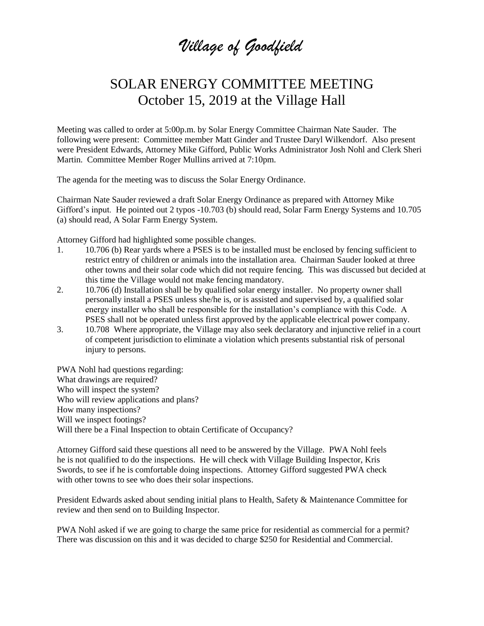*Village of Goodfield*

## SOLAR ENERGY COMMITTEE MEETING October 15, 2019 at the Village Hall

Meeting was called to order at 5:00p.m. by Solar Energy Committee Chairman Nate Sauder. The following were present: Committee member Matt Ginder and Trustee Daryl Wilkendorf. Also present were President Edwards, Attorney Mike Gifford, Public Works Administrator Josh Nohl and Clerk Sheri Martin. Committee Member Roger Mullins arrived at 7:10pm.

The agenda for the meeting was to discuss the Solar Energy Ordinance.

Chairman Nate Sauder reviewed a draft Solar Energy Ordinance as prepared with Attorney Mike Gifford's input. He pointed out 2 typos -10.703 (b) should read, Solar Farm Energy Systems and 10.705 (a) should read, A Solar Farm Energy System.

Attorney Gifford had highlighted some possible changes.

- 1. 10.706 (b) Rear yards where a PSES is to be installed must be enclosed by fencing sufficient to restrict entry of children or animals into the installation area. Chairman Sauder looked at three other towns and their solar code which did not require fencing. This was discussed but decided at this time the Village would not make fencing mandatory.
- 2. 10.706 (d) Installation shall be by qualified solar energy installer. No property owner shall personally install a PSES unless she/he is, or is assisted and supervised by, a qualified solar energy installer who shall be responsible for the installation's compliance with this Code. A PSES shall not be operated unless first approved by the applicable electrical power company.
- 3. 10.708 Where appropriate, the Village may also seek declaratory and injunctive relief in a court of competent jurisdiction to eliminate a violation which presents substantial risk of personal injury to persons.

PWA Nohl had questions regarding: What drawings are required? Who will inspect the system? Who will review applications and plans? How many inspections? Will we inspect footings? Will there be a Final Inspection to obtain Certificate of Occupancy?

Attorney Gifford said these questions all need to be answered by the Village. PWA Nohl feels he is not qualified to do the inspections. He will check with Village Building Inspector, Kris Swords, to see if he is comfortable doing inspections. Attorney Gifford suggested PWA check with other towns to see who does their solar inspections.

President Edwards asked about sending initial plans to Health, Safety & Maintenance Committee for review and then send on to Building Inspector.

PWA Nohl asked if we are going to charge the same price for residential as commercial for a permit? There was discussion on this and it was decided to charge \$250 for Residential and Commercial.